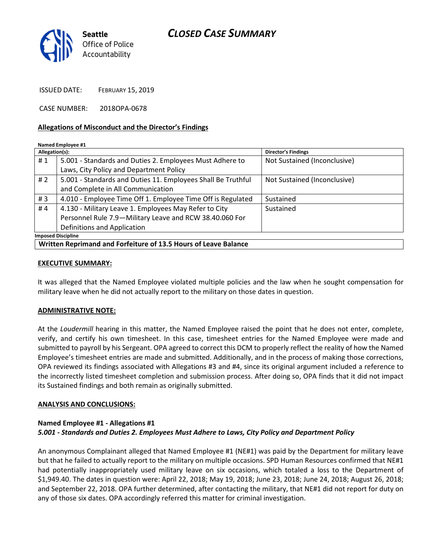# CLOSED CASE SUMMARY



ISSUED DATE: FEBRUARY 15, 2019

CASE NUMBER: 2018OPA-0678

### Allegations of Misconduct and the Director's Findings

#### Named Employee #1

| Allegation(s):                                                  |                                                              | <b>Director's Findings</b>   |
|-----------------------------------------------------------------|--------------------------------------------------------------|------------------------------|
| #1                                                              | 5.001 - Standards and Duties 2. Employees Must Adhere to     | Not Sustained (Inconclusive) |
|                                                                 | Laws, City Policy and Department Policy                      |                              |
| #2                                                              | 5.001 - Standards and Duties 11. Employees Shall Be Truthful | Not Sustained (Inconclusive) |
|                                                                 | and Complete in All Communication                            |                              |
| #3                                                              | 4.010 - Employee Time Off 1. Employee Time Off is Regulated  | Sustained                    |
| #4                                                              | 4.130 - Military Leave 1. Employees May Refer to City        | Sustained                    |
|                                                                 | Personnel Rule 7.9-Military Leave and RCW 38.40.060 For      |                              |
|                                                                 | Definitions and Application                                  |                              |
| <b>Imposed Discipline</b>                                       |                                                              |                              |
| Written Reprimand and Forfeiture of 13.5 Hours of Leave Balance |                                                              |                              |

### EXECUTIVE SUMMARY:

It was alleged that the Named Employee violated multiple policies and the law when he sought compensation for military leave when he did not actually report to the military on those dates in question.

### ADMINISTRATIVE NOTE:

At the Loudermill hearing in this matter, the Named Employee raised the point that he does not enter, complete, verify, and certify his own timesheet. In this case, timesheet entries for the Named Employee were made and submitted to payroll by his Sergeant. OPA agreed to correct this DCM to properly reflect the reality of how the Named Employee's timesheet entries are made and submitted. Additionally, and in the process of making those corrections, OPA reviewed its findings associated with Allegations #3 and #4, since its original argument included a reference to the incorrectly listed timesheet completion and submission process. After doing so, OPA finds that it did not impact its Sustained findings and both remain as originally submitted.

### ANALYSIS AND CONCLUSIONS:

## Named Employee #1 - Allegations #1 5.001 - Standards and Duties 2. Employees Must Adhere to Laws, City Policy and Department Policy

An anonymous Complainant alleged that Named Employee #1 (NE#1) was paid by the Department for military leave but that he failed to actually report to the military on multiple occasions. SPD Human Resources confirmed that NE#1 had potentially inappropriately used military leave on six occasions, which totaled a loss to the Department of \$1,949.40. The dates in question were: April 22, 2018; May 19, 2018; June 23, 2018; June 24, 2018; August 26, 2018; and September 22, 2018. OPA further determined, after contacting the military, that NE#1 did not report for duty on any of those six dates. OPA accordingly referred this matter for criminal investigation.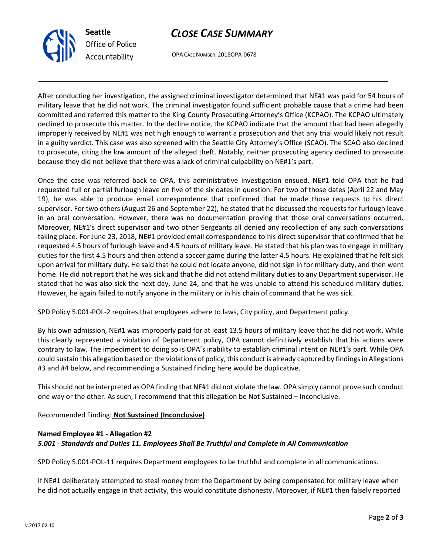



OPA CASE NUMBER: 2018OPA-0678

After conducting her investigation, the assigned criminal investigator determined that NE#1 was paid for 54 hours of military leave that he did not work. The criminal investigator found sufficient probable cause that a crime had been committed and referred this matter to the King County Prosecuting Attorney's Office (KCPAO). The KCPAO ultimately declined to prosecute this matter. In the decline notice, the KCPAO indicate that the amount that had been allegedly improperly received by NE#1 was not high enough to warrant a prosecution and that any trial would likely not result in a guilty verdict. This case was also screened with the Seattle City Attorney's Office (SCAO). The SCAO also declined to prosecute, citing the low amount of the alleged theft. Notably, neither prosecuting agency declined to prosecute because they did not believe that there was a lack of criminal culpability on NE#1's part.

Once the case was referred back to OPA, this administrative investigation ensued. NE#1 told OPA that he had requested full or partial furlough leave on five of the six dates in question. For two of those dates (April 22 and May 19), he was able to produce email correspondence that confirmed that he made those requests to his direct supervisor. For two others (August 26 and September 22), he stated that he discussed the requests for furlough leave in an oral conversation. However, there was no documentation proving that those oral conversations occurred. Moreover, NE#1's direct supervisor and two other Sergeants all denied any recollection of any such conversations taking place. For June 23, 2018, NE#1 provided email correspondence to his direct supervisor that confirmed that he requested 4.5 hours of furlough leave and 4.5 hours of military leave. He stated that his plan was to engage in military duties for the first 4.5 hours and then attend a soccer game during the latter 4.5 hours. He explained that he felt sick upon arrival for military duty. He said that he could not locate anyone, did not sign in for military duty, and then went home. He did not report that he was sick and that he did not attend military duties to any Department supervisor. He stated that he was also sick the next day, June 24, and that he was unable to attend his scheduled military duties. However, he again failed to notify anyone in the military or in his chain of command that he was sick.

SPD Policy 5.001-POL-2 requires that employees adhere to laws, City policy, and Department policy.

By his own admission, NE#1 was improperly paid for at least 13.5 hours of military leave that he did not work. While this clearly represented a violation of Department policy, OPA cannot definitively establish that his actions were contrary to law. The impediment to doing so is OPA's inability to establish criminal intent on NE#1's part. While OPA could sustain this allegation based on the violations of policy, this conduct is already captured by findings in Allegations #3 and #4 below, and recommending a Sustained finding here would be duplicative.

This should not be interpreted as OPA finding that NE#1 did not violate the law. OPA simply cannot prove such conduct one way or the other. As such, I recommend that this allegation be Not Sustained – Inconclusive.

Recommended Finding: Not Sustained (Inconclusive)

# Named Employee #1 - Allegation #2 5.001 - Standards and Duties 11. Employees Shall Be Truthful and Complete in All Communication

SPD Policy 5.001-POL-11 requires Department employees to be truthful and complete in all communications.

If NE#1 deliberately attempted to steal money from the Department by being compensated for military leave when he did not actually engage in that activity, this would constitute dishonesty. Moreover, if NE#1 then falsely reported